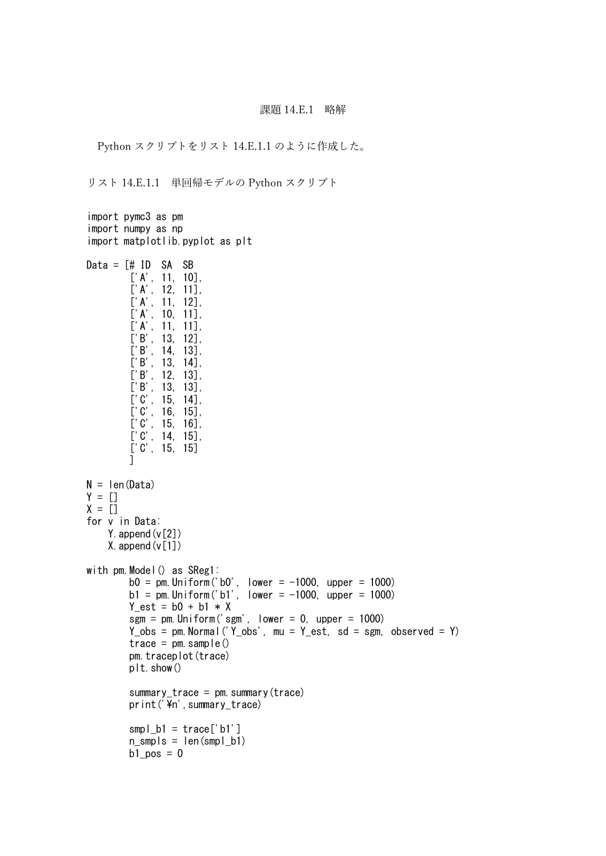## 課題 14.E.1 略解

Python スクリプトをリスト 14.E.1.1 のように作成した。

リスト 14.E.1.1 単回帰モデルの Python スクリプト

```
import pymc3 as pm
import numpy as np
import matplotlib.pyplot as plt
Data = \lceil \# \rceil ID SA SB
         ['A', 11, 10],['A', 12, 11],['A', 11, 12],
         ['A', 10, 11],\left[\begin{array}{ccc} ' & A' & 11 & 11 \end{array}\right],
         ['B', 13, 12],
         ['B', 14, 13],
         ['B', 13, 14],
         ['B', 12, 13],
         ['B', 13, 13],
         [°C', 15, 14],
         [°C', 16, 15],
         [°C', 15, 16],
         [°C', 14, 15],
         ['C', 15, 15]
         ]
N = len(Data)Y = [1]X = \overline{[]}for v in Data:
    Y. append (v[2])
    X. append (v[1])with pm.Model() as SReg1:
         b0 = pm. Uniform('b0', lower = -1000, upper = 1000)
         b1 = pm. Uniform('b1', lower = -1000, upper = 1000)
         Y est = b0 + b1 * X\overline{sgm} = pm. Uniform ('sgm', lower = 0, upper = 1000)
         Y_{obs} = pm. Normal ('Y_obs', mu = Y_est, sd = sgm, observed = Y)
         trace = pm \text{ sample}()pm.traceplot(trace)
         plt.show()
         summary_trace = pm. summary (trace)
         print('\\n',summary_trace)
         smpl\_b1 = \text{trace['b1']}n_smpls = len(smpl_b1)
         b1_pos = 0
```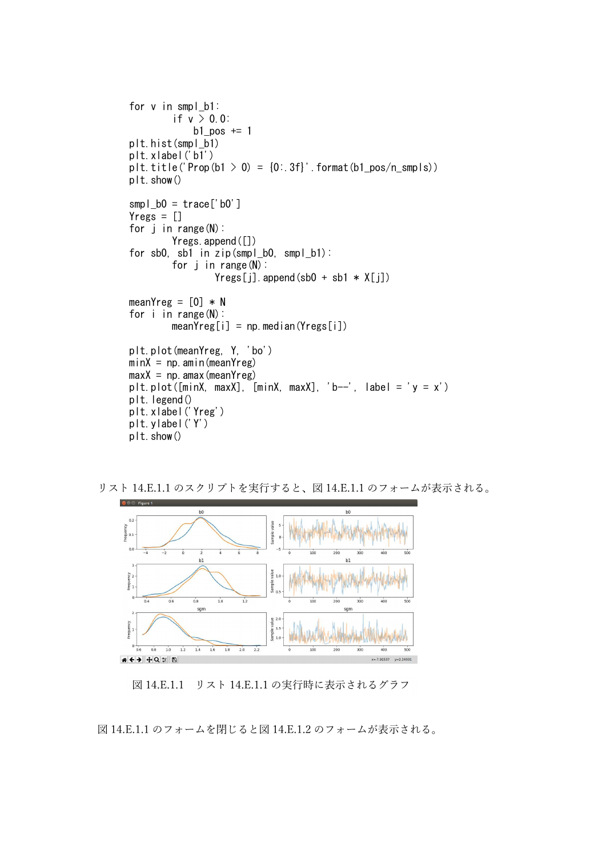```
for v in smpl_b1:
         if v > 0.0:
             b1 pos += 1plt.hist(smpl_b1)
plt.xlabel('b1')
plt.title('Prop(b1 > 0) = \{0: .3f\}'.format(b1_p \circ (n_s \circ n))
plt.show()
smpl\_b0 = \text{trace}['b0']Yregs = []for j in range(N):
         Yregs.append([])
for sb0, sb1 in zip(smpl b0, smpl b1):
         for i in range(N):
                  Yres[i]. append(sb0 + sb1 * X[i])
meanYreg = [0] * N
for i in range(N):
        meanYreg[i] = np. median(Yreg[i])
plt.plot(meanYreg, Y, 'bo')
minX = np. amin(meanYreg)maxX = np. amax (mean Yreg)
plt.plot([\text{minX}, \text{maxX}], [\text{minX}, \text{maxX}], 'b--', label = 'y = x')
plt. legend()
plt.xlabel('Yreg')
plt.ylabel('Y')
plt.show()
```


リスト 14.E.1.1 のスクリプトを実行すると、図 14.E.1.1 のフォームが表示される。

図 14.E.1.1 リスト 14.E.1.1 の実行時に表示されるグラフ

```
図 14.E.1.1 のフォームを閉じると図 14.E.1.2 のフォームが表示される。
```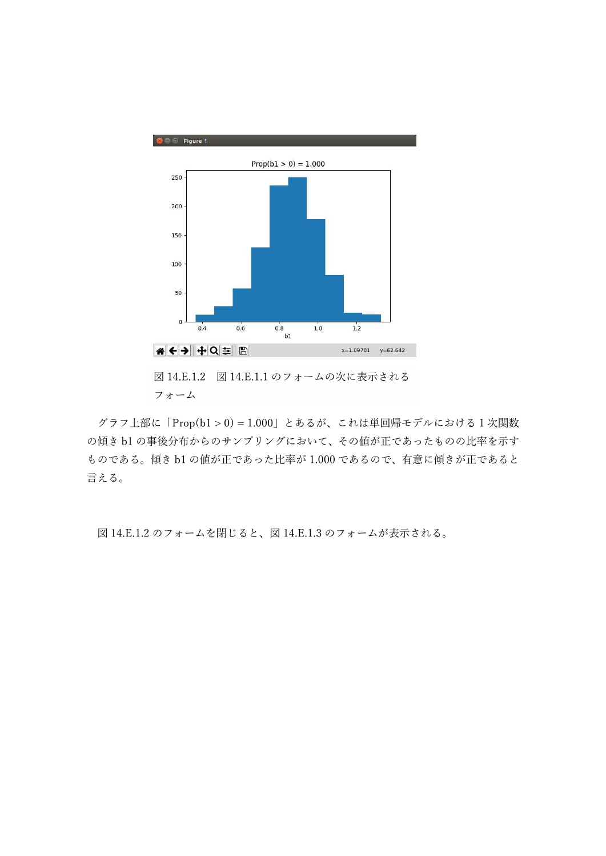

図 14.E.1.2 図 14.E.1.1 のフォームの次に表示される フォーム

グラフ上部に「Prop(b1 > 0) = 1.000」とあるが、これは単回帰モデルにおける 1 次関数 の傾き b1 の事後分布からのサンプリングにおいて、その値が正であったものの比率を示す ものである。傾き b1 の値が正であった比率が 1.000 であるので、有意に傾きが正であると 言える。

図 14.E.1.2 のフォームを閉じると、図 14.E.1.3 のフォームが表示される。